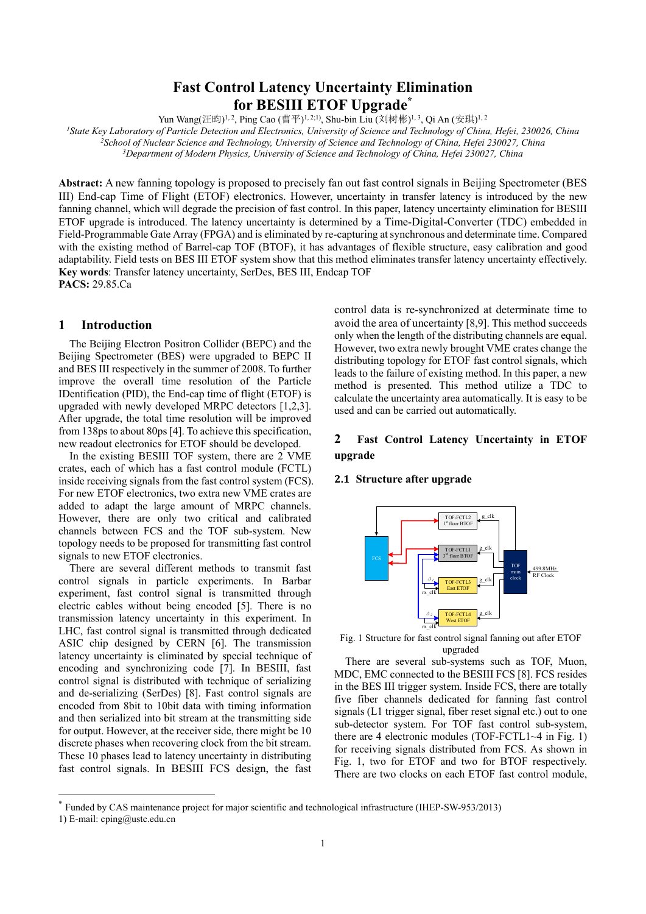# **Fast Control Latency Uncertainty Elimination for BESIII ETOF Upgrade\***

Yun Wang(汪昀)<sup>1, 2</sup>, Ping Cao (曹平)<sup>1, 2;1)</sup>, Shu-bin Liu (刘树彬)<sup>1, 3</sup>, Qi An (安琪)<sup>1, 2</sup>

*1State Key Laboratory of Particle Detection and Electronics, University of Science and Technology of China, Hefei, 230026, China 2School of Nuclear Science and Technology, University of Science and Technology of China, Hefei 230027, China 3Department of Modern Physics, University of Science and Technology of China, Hefei 230027, China* 

**Abstract:** A new fanning topology is proposed to precisely fan out fast control signals in Beijing Spectrometer (BES III) End-cap Time of Flight (ETOF) electronics. However, uncertainty in transfer latency is introduced by the new fanning channel, which will degrade the precision of fast control. In this paper, latency uncertainty elimination for BESIII ETOF upgrade is introduced. The latency uncertainty is determined by a Time-Digital-Converter (TDC) embedded in Field-Programmable Gate Array (FPGA) and is eliminated by re-capturing at synchronous and determinate time. Compared with the existing method of Barrel-cap TOF (BTOF), it has advantages of flexible structure, easy calibration and good adaptability. Field tests on BES III ETOF system show that this method eliminates transfer latency uncertainty effectively. **Key words**: Transfer latency uncertainty, SerDes, BES III, Endcap TOF **PACS:** 29.85.Ca

## **1 Introduction**

The Beijing Electron Positron Collider (BEPC) and the Beijing Spectrometer (BES) were upgraded to BEPC II and BES III respectively in the summer of 2008. To further improve the overall time resolution of the Particle IDentification (PID), the End-cap time of flight (ETOF) is upgraded with newly developed MRPC detectors [1,2,3]. After upgrade, the total time resolution will be improved from 138ps to about 80ps [4]. To achieve this specification, new readout electronics for ETOF should be developed.

In the existing BESIII TOF system, there are 2 VME crates, each of which has a fast control module (FCTL) inside receiving signals from the fast control system (FCS). For new ETOF electronics, two extra new VME crates are added to adapt the large amount of MRPC channels. However, there are only two critical and calibrated channels between FCS and the TOF sub-system. New topology needs to be proposed for transmitting fast control signals to new ETOF electronics.

There are several different methods to transmit fast control signals in particle experiments. In Barbar experiment, fast control signal is transmitted through electric cables without being encoded [5]. There is no transmission latency uncertainty in this experiment. In LHC, fast control signal is transmitted through dedicated ASIC chip designed by CERN [6]. The transmission latency uncertainty is eliminated by special technique of encoding and synchronizing code [7]. In BESIII, fast control signal is distributed with technique of serializing and de-serializing (SerDes) [8]. Fast control signals are encoded from 8bit to 10bit data with timing information and then serialized into bit stream at the transmitting side for output. However, at the receiver side, there might be 10 discrete phases when recovering clock from the bit stream. These 10 phases lead to latency uncertainty in distributing fast control signals. In BESIII FCS design, the fast control data is re-synchronized at determinate time to avoid the area of uncertainty [8,9]. This method succeeds only when the length of the distributing channels are equal. However, two extra newly brought VME crates change the distributing topology for ETOF fast control signals, which leads to the failure of existing method. In this paper, a new method is presented. This method utilize a TDC to calculate the uncertainty area automatically. It is easy to be used and can be carried out automatically.

# **2 Fast Control Latency Uncertainty in ETOF upgrade**

### **2.1 Structure after upgrade**



Fig. 1 Structure for fast control signal fanning out after ETOF upgraded

There are several sub-systems such as TOF, Muon, MDC, EMC connected to the BESIII FCS [8]. FCS resides in the BES III trigger system. Inside FCS, there are totally five fiber channels dedicated for fanning fast control signals (L1 trigger signal, fiber reset signal etc.) out to one sub-detector system. For TOF fast control sub-system, there are 4 electronic modules (TOF-FCTL1~4 in Fig. 1) for receiving signals distributed from FCS. As shown in Fig. 1, two for ETOF and two for BTOF respectively. There are two clocks on each ETOF fast control module,

-

<sup>\*</sup> Funded by CAS maintenance project for major scientific and technological infrastructure (IHEP-SW-953/2013)

<sup>1)</sup> E-mail: cping@ustc.edu.cn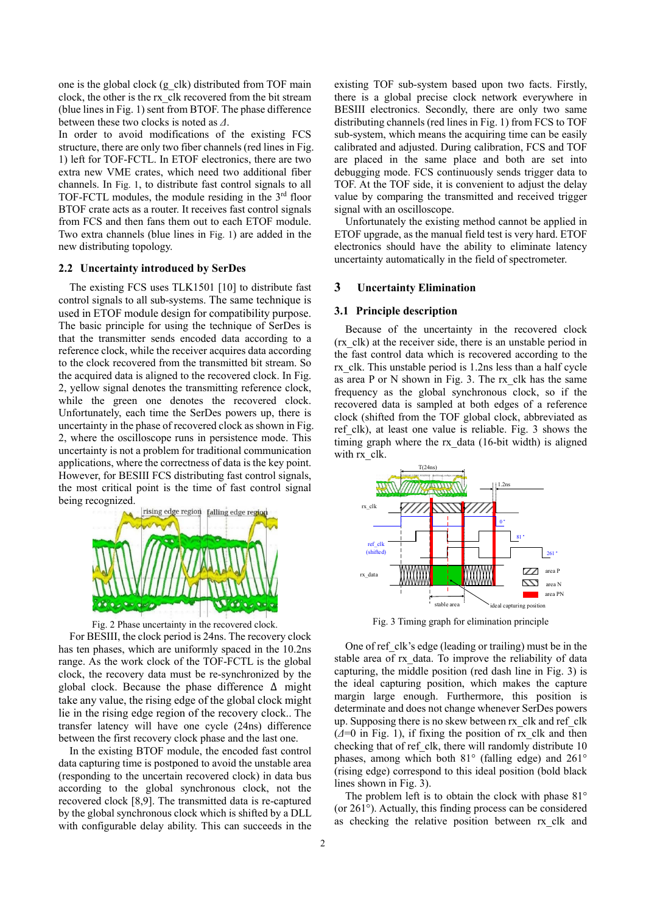one is the global clock (g\_clk) distributed from TOF main clock, the other is the rx\_clk recovered from the bit stream (blue lines in Fig. 1) sent from BTOF. The phase difference between these two clocks is noted as *Δ*.

In order to avoid modifications of the existing FCS structure, there are only two fiber channels (red lines in Fig. 1) left for TOF-FCTL. In ETOF electronics, there are two extra new VME crates, which need two additional fiber channels. In Fig. 1, to distribute fast control signals to all TOF-FCTL modules, the module residing in the 3rd floor BTOF crate acts as a router. It receives fast control signals from FCS and then fans them out to each ETOF module. Two extra channels (blue lines in Fig. 1) are added in the new distributing topology.

## **2.2 Uncertainty introduced by SerDes**

The existing FCS uses TLK1501 [10] to distribute fast control signals to all sub-systems. The same technique is used in ETOF module design for compatibility purpose. The basic principle for using the technique of SerDes is that the transmitter sends encoded data according to a reference clock, while the receiver acquires data according to the clock recovered from the transmitted bit stream. So the acquired data is aligned to the recovered clock. In Fig. 2, yellow signal denotes the transmitting reference clock, while the green one denotes the recovered clock. Unfortunately, each time the SerDes powers up, there is uncertainty in the phase of recovered clock as shown in Fig. 2, where the oscilloscope runs in persistence mode. This uncertainty is not a problem for traditional communication applications, where the correctness of data is the key point. However, for BESIII FCS distributing fast control signals, the most critical point is the time of fast control signal being recognized.





For BESIII, the clock period is 24ns. The recovery clock has ten phases, which are uniformly spaced in the 10.2ns range. As the work clock of the TOF-FCTL is the global clock, the recovery data must be re-synchronized by the global clock. Because the phase difference Δ might take any value, the rising edge of the global clock might lie in the rising edge region of the recovery clock.. The transfer latency will have one cycle (24ns) difference between the first recovery clock phase and the last one.

In the existing BTOF module, the encoded fast control data capturing time is postponed to avoid the unstable area (responding to the uncertain recovered clock) in data bus according to the global synchronous clock, not the recovered clock [8,9]. The transmitted data is re-captured by the global synchronous clock which is shifted by a DLL with configurable delay ability. This can succeeds in the existing TOF sub-system based upon two facts. Firstly, there is a global precise clock network everywhere in BESIII electronics. Secondly, there are only two same distributing channels (red lines in Fig. 1) from FCS to TOF sub-system, which means the acquiring time can be easily calibrated and adjusted. During calibration, FCS and TOF are placed in the same place and both are set into debugging mode. FCS continuously sends trigger data to TOF. At the TOF side, it is convenient to adjust the delay value by comparing the transmitted and received trigger signal with an oscilloscope.

Unfortunately the existing method cannot be applied in ETOF upgrade, as the manual field test is very hard. ETOF electronics should have the ability to eliminate latency uncertainty automatically in the field of spectrometer.

#### **3 Uncertainty Elimination**

#### **3.1 Principle description**

Because of the uncertainty in the recovered clock (rx\_clk) at the receiver side, there is an unstable period in the fast control data which is recovered according to the rx\_clk. This unstable period is 1.2ns less than a half cycle as area P or N shown in Fig. 3. The rx\_clk has the same frequency as the global synchronous clock, so if the recovered data is sampled at both edges of a reference clock (shifted from the TOF global clock, abbreviated as ref clk), at least one value is reliable. Fig. 3 shows the timing graph where the rx\_data (16-bit width) is aligned with rx\_clk.



Fig. 3 Timing graph for elimination principle

One of ref clk's edge (leading or trailing) must be in the stable area of rx\_data. To improve the reliability of data capturing, the middle position (red dash line in Fig. 3) is the ideal capturing position, which makes the capture margin large enough. Furthermore, this position is determinate and does not change whenever SerDes powers up. Supposing there is no skew between rx\_clk and ref\_clk  $(\Delta=0$  in Fig. 1), if fixing the position of rx clk and then checking that of ref\_clk, there will randomly distribute 10 phases, among which both 81° (falling edge) and 261° (rising edge) correspond to this ideal position (bold black lines shown in Fig. 3).

The problem left is to obtain the clock with phase 81° (or 261°). Actually, this finding process can be considered as checking the relative position between rx\_clk and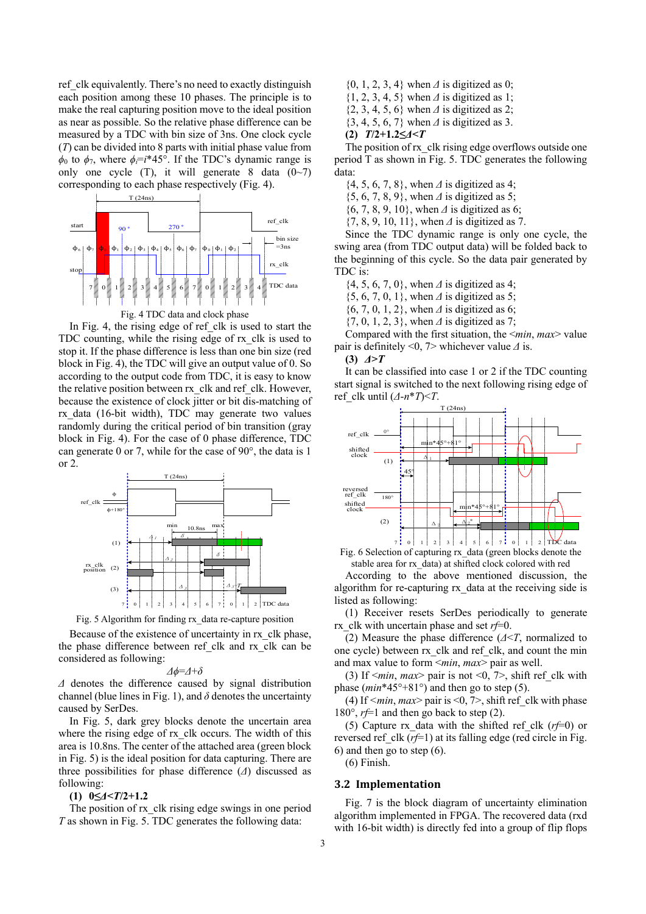ref clk equivalently. There's no need to exactly distinguish each position among these 10 phases. The principle is to make the real capturing position move to the ideal position as near as possible. So the relative phase difference can be measured by a TDC with bin size of 3ns. One clock cycle (*T*) can be divided into 8 parts with initial phase value from  $\phi_0$  to  $\phi_7$ , where  $\phi_i = i^*45^\circ$ . If the TDC's dynamic range is only one cycle (T), it will generate 8 data  $(0~7)$ corresponding to each phase respectively (Fig. 4).



In Fig. 4, the rising edge of ref clk is used to start the TDC counting, while the rising edge of rx\_clk is used to stop it. If the phase difference is less than one bin size (red block in Fig. 4), the TDC will give an output value of 0. So according to the output code from TDC, it is easy to know the relative position between rx\_clk and ref\_clk. However, because the existence of clock jitter or bit dis-matching of rx\_data (16-bit width), TDC may generate two values randomly during the critical period of bin transition (gray block in Fig. 4). For the case of 0 phase difference, TDC can generate 0 or 7, while for the case of 90°, the data is 1 or 2.



Fig. 5 Algorithm for finding rx\_data re-capture position

Because of the existence of uncertainty in rx\_clk phase, the phase difference between ref\_clk and rx\_clk can be considered as following:

$$
\varDelta\phi\!\!=\!\!\varDelta\!\!+\!\!\delta
$$

*Δ* denotes the difference caused by signal distribution channel (blue lines in Fig. 1), and  $\delta$  denotes the uncertainty caused by SerDes.

In Fig. 5, dark grey blocks denote the uncertain area where the rising edge of rx\_clk occurs. The width of this area is 10.8ns. The center of the attached area (green block in Fig. 5) is the ideal position for data capturing. There are three possibilities for phase difference (*Δ*) discussed as following:

#### **(1) 0≤***Δ***<***T***/2+1.2**

The position of rx clk rising edge swings in one period *T* as shown in Fig. 5. TDC generates the following data:

{0, 1, 2, 3, 4} when *Δ* is digitized as 0; {1, 2, 3, 4, 5} when *Δ* is digitized as 1; {2, 3, 4, 5, 6} when *Δ* is digitized as 2; {3, 4, 5, 6, 7} when *Δ* is digitized as 3.

**(2)** *T***/2+1.2≤***Δ***<***T*

The position of rx clk rising edge overflows outside one period T as shown in Fig. 5. TDC generates the following data:

{4, 5, 6, 7, 8}, when *Δ* is digitized as 4;

{5, 6, 7, 8, 9}, when *Δ* is digitized as 5;

{6, 7, 8, 9, 10}, when *Δ* is digitized as 6;

{7, 8, 9, 10, 11}, when *Δ* is digitized as 7.

Since the TDC dynamic range is only one cycle, the swing area (from TDC output data) will be folded back to the beginning of this cycle. So the data pair generated by TDC is:

{4, 5, 6, 7, 0}, when *Δ* is digitized as 4;

{5, 6, 7, 0, 1}, when *Δ* is digitized as 5;

{6, 7, 0, 1, 2}, when *Δ* is digitized as 6;

{7, 0, 1, 2, 3}, when *Δ* is digitized as 7;

Compared with the first situation, the <*min*, *max*> value pair is definitely <0, 7> whichever value *Δ* is.

#### **(3)** *Δ***>***T*

It can be classified into case 1 or 2 if the TDC counting start signal is switched to the next following rising edge of ref clk until  $(A-n*T) < T$ .



Fig. 6 Selection of capturing rx\_data (green blocks denote the stable area for rx\_data) at shifted clock colored with red

According to the above mentioned discussion, the algorithm for re-capturing rx\_data at the receiving side is listed as following:

(1) Receiver resets SerDes periodically to generate rx\_clk with uncertain phase and set *rf*=0.

(2) Measure the phase difference (*Δ*<*T*, normalized to one cycle) between rx\_clk and ref\_clk, and count the min and max value to form <*min*, *max*> pair as well.

(3) If  $\leq min$ , *max* pair is not  $\leq 0$ ,  $\leq 0$ , shift ref clk with phase  $(min*45^{\circ}+81^{\circ})$  and then go to step (5).

(4) If  $\leq min$ ,  $max$  pair is  $\leq 0$ ,  $\geq$ , shift ref clk with phase 180 $\degree$ , *r*f=1 and then go back to step (2).

(5) Capture rx data with the shifted ref clk  $(rf=0)$  or reversed ref clk  $(rf=1)$  at its falling edge (red circle in Fig. 6) and then go to step (6).

(6) Finish.

### **3.2 Implementation**

Fig. 7 is the block diagram of uncertainty elimination algorithm implemented in FPGA. The recovered data (rxd with 16-bit width) is directly fed into a group of flip flops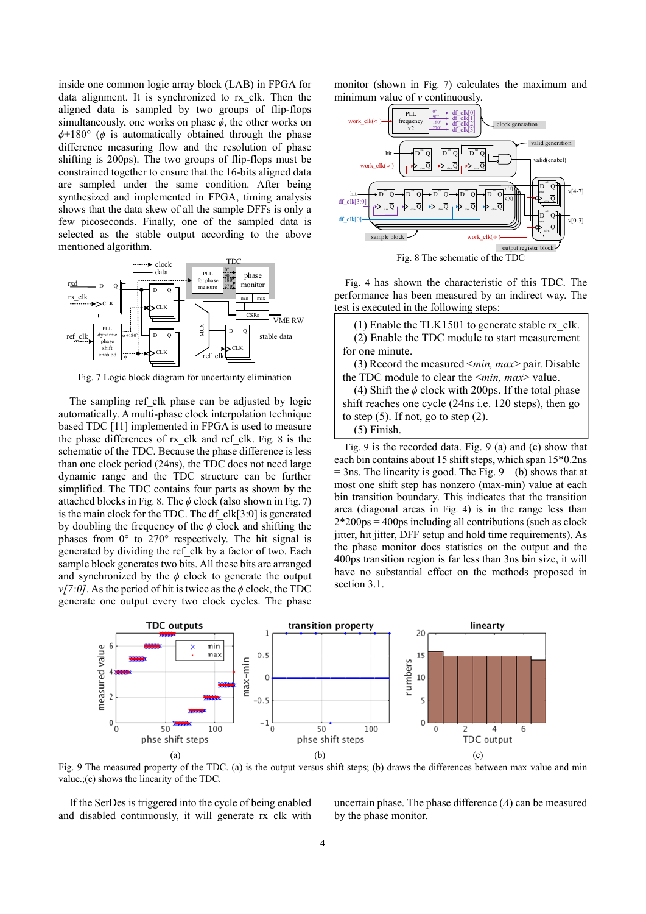inside one common logic array block (LAB) in FPGA for data alignment. It is synchronized to rx\_clk. Then the aligned data is sampled by two groups of flip-flops simultaneously, one works on phase  $\phi$ , the other works on *ϕ*+180° (*ϕ* is automatically obtained through the phase difference measuring flow and the resolution of phase shifting is 200ps). The two groups of flip-flops must be constrained together to ensure that the 16-bits aligned data are sampled under the same condition. After being synthesized and implemented in FPGA, timing analysis shows that the data skew of all the sample DFFs is only a few picoseconds. Finally, one of the sampled data is selected as the stable output according to the above mentioned algorithm.



Fig. 7 Logic block diagram for uncertainty elimination

The sampling ref clk phase can be adjusted by logic automatically. A multi-phase clock interpolation technique based TDC [11] implemented in FPGA is used to measure the phase differences of rx\_clk and ref\_clk. Fig. 8 is the schematic of the TDC. Because the phase difference is less than one clock period (24ns), the TDC does not need large dynamic range and the TDC structure can be further simplified. The TDC contains four parts as shown by the attached blocks in Fig. 8. The  $\phi$  clock (also shown in Fig. 7) is the main clock for the TDC. The df\_clk[3:0] is generated by doubling the frequency of the  $\phi$  clock and shifting the phases from 0° to 270° respectively. The hit signal is generated by dividing the ref\_clk by a factor of two. Each sample block generates two bits. All these bits are arranged and synchronized by the  $\phi$  clock to generate the output *v*[7:0]. As the period of hit is twice as the *ϕ* clock, the TDC generate one output every two clock cycles. The phase monitor (shown in Fig. 7) calculates the maximum and minimum value of *v* continuously.



Fig. 4 has shown the characteristic of this TDC. The performance has been measured by an indirect way. The test is executed in the following steps:

(1) Enable the TLK1501 to generate stable  $rx$  clk. (2) Enable the TDC module to start measurement for one minute.

(3) Record the measured <*min, max*> pair. Disable the TDC module to clear the <*min, max*> value.

(4) Shift the *ϕ* clock with 200ps. If the total phase shift reaches one cycle (24ns i.e. 120 steps), then go to step  $(5)$ . If not, go to step  $(2)$ .

# (5) Finish.

Fig. 9 is the recorded data. Fig. 9 (a) and (c) show that each bin contains about 15 shift steps, which span 15\*0.2ns  $=$  3ns. The linearity is good. The Fig. 9 (b) shows that at most one shift step has nonzero (max-min) value at each bin transition boundary. This indicates that the transition area (diagonal areas in Fig. 4) is in the range less than 2\*200ps = 400ps including all contributions (such as clock jitter, hit jitter, DFF setup and hold time requirements). As the phase monitor does statistics on the output and the 400ps transition region is far less than 3ns bin size, it will have no substantial effect on the methods proposed in section 3.1.



Fig. 9 The measured property of the TDC. (a) is the output versus shift steps; (b) draws the differences between max value and min value.;(c) shows the linearity of the TDC.

If the SerDes is triggered into the cycle of being enabled and disabled continuously, it will generate rx\_clk with uncertain phase. The phase difference (*Δ*) can be measured by the phase monitor.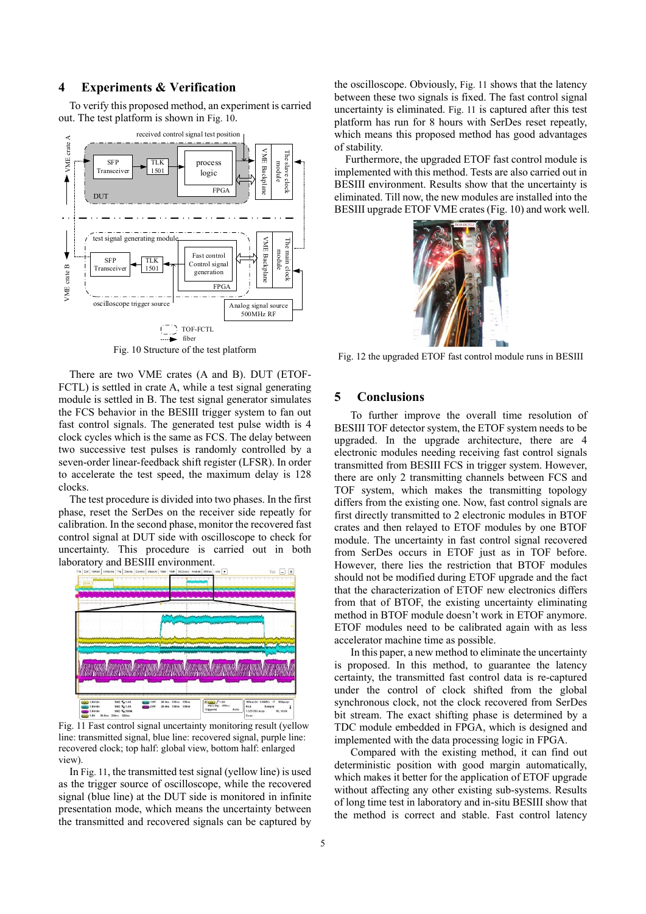# **4 Experiments & Verification**

To verify this proposed method, an experiment is carried out. The test platform is shown in Fig. 10.



Fig. 10 Structure of the test platform

There are two VME crates (A and B). DUT (ETOF-FCTL) is settled in crate A, while a test signal generating module is settled in B. The test signal generator simulates the FCS behavior in the BESIII trigger system to fan out fast control signals. The generated test pulse width is 4 clock cycles which is the same as FCS. The delay between two successive test pulses is randomly controlled by a seven-order linear-feedback shift register (LFSR). In order to accelerate the test speed, the maximum delay is 128 clocks.

The test procedure is divided into two phases. In the first phase, reset the SerDes on the receiver side repeatly for calibration. In the second phase, monitor the recovered fast control signal at DUT side with oscilloscope to check for uncertainty. This procedure is carried out in both laboratory and BESIII environment.



Fig. 11 Fast control signal uncertainty monitoring result (yellow line: transmitted signal, blue line: recovered signal, purple line: recovered clock; top half: global view, bottom half: enlarged view).

In Fig. 11, the transmitted test signal (yellow line) is used as the trigger source of oscilloscope, while the recovered signal (blue line) at the DUT side is monitored in infinite presentation mode, which means the uncertainty between the transmitted and recovered signals can be captured by

the oscilloscope. Obviously, Fig. 11 shows that the latency between these two signals is fixed. The fast control signal uncertainty is eliminated. Fig. 11 is captured after this test platform has run for 8 hours with SerDes reset repeatly, which means this proposed method has good advantages of stability.

Furthermore, the upgraded ETOF fast control module is implemented with this method. Tests are also carried out in BESIII environment. Results show that the uncertainty is eliminated. Till now, the new modules are installed into the BESIII upgrade ETOF VME crates (Fig. 10) and work well.



Fig. 12 the upgraded ETOF fast control module runs in BESIII

# **5 Conclusions**

To further improve the overall time resolution of BESIII TOF detector system, the ETOF system needs to be upgraded. In the upgrade architecture, there are 4 electronic modules needing receiving fast control signals transmitted from BESIII FCS in trigger system. However, there are only 2 transmitting channels between FCS and TOF system, which makes the transmitting topology differs from the existing one. Now, fast control signals are first directly transmitted to 2 electronic modules in BTOF crates and then relayed to ETOF modules by one BTOF module. The uncertainty in fast control signal recovered from SerDes occurs in ETOF just as in TOF before. However, there lies the restriction that BTOF modules should not be modified during ETOF upgrade and the fact that the characterization of ETOF new electronics differs from that of BTOF, the existing uncertainty eliminating method in BTOF module doesn't work in ETOF anymore. ETOF modules need to be calibrated again with as less accelerator machine time as possible.

In this paper, a new method to eliminate the uncertainty is proposed. In this method, to guarantee the latency certainty, the transmitted fast control data is re-captured under the control of clock shifted from the global synchronous clock, not the clock recovered from SerDes bit stream. The exact shifting phase is determined by a TDC module embedded in FPGA, which is designed and implemented with the data processing logic in FPGA.

Compared with the existing method, it can find out deterministic position with good margin automatically, which makes it better for the application of ETOF upgrade without affecting any other existing sub-systems. Results of long time test in laboratory and in-situ BESIII show that the method is correct and stable. Fast control latency